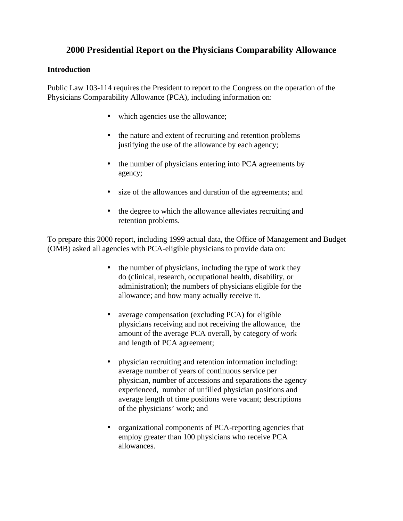# **2000 Presidential Report on the Physicians Comparability Allowance**

## **Introduction**

Public Law 103-114 requires the President to report to the Congress on the operation of the Physicians Comparability Allowance (PCA), including information on:

- which agencies use the allowance;
- the nature and extent of recruiting and retention problems justifying the use of the allowance by each agency;
- the number of physicians entering into PCA agreements by agency;
- size of the allowances and duration of the agreements; and
- the degree to which the allowance alleviates recruiting and retention problems.

To prepare this 2000 report, including 1999 actual data, the Office of Management and Budget (OMB) asked all agencies with PCA-eligible physicians to provide data on:

- the number of physicians, including the type of work they do (clinical, research, occupational health, disability, or administration); the numbers of physicians eligible for the allowance; and how many actually receive it.
- average compensation (excluding PCA) for eligible physicians receiving and not receiving the allowance, the amount of the average PCA overall, by category of work and length of PCA agreement;
- physician recruiting and retention information including: average number of years of continuous service per physician, number of accessions and separations the agency experienced, number of unfilled physician positions and average length of time positions were vacant; descriptions of the physicians' work; and
- organizational components of PCA-reporting agencies that employ greater than 100 physicians who receive PCA allowances.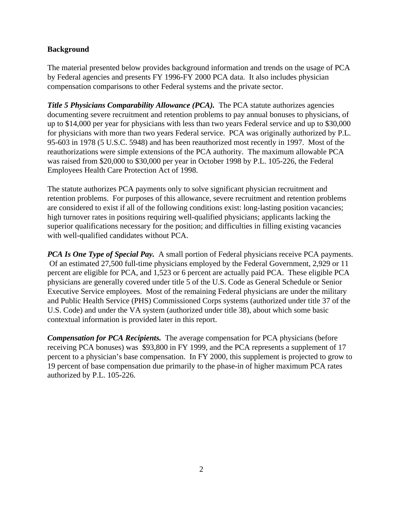## **Background**

The material presented below provides background information and trends on the usage of PCA by Federal agencies and presents FY 1996-FY 2000 PCA data. It also includes physician compensation comparisons to other Federal systems and the private sector.

*Title 5 Physicians Comparability Allowance (PCA).* The PCA statute authorizes agencies documenting severe recruitment and retention problems to pay annual bonuses to physicians, of up to \$14,000 per year for physicians with less than two years Federal service and up to \$30,000 for physicians with more than two years Federal service. PCA was originally authorized by P.L. 95-603 in 1978 (5 U.S.C. 5948) and has been reauthorized most recently in 1997. Most of the reauthorizations were simple extensions of the PCA authority. The maximum allowable PCA was raised from \$20,000 to \$30,000 per year in October 1998 by P.L. 105-226, the Federal Employees Health Care Protection Act of 1998.

The statute authorizes PCA payments only to solve significant physician recruitment and retention problems. For purposes of this allowance, severe recruitment and retention problems are considered to exist if all of the following conditions exist: long-lasting position vacancies; high turnover rates in positions requiring well-qualified physicians; applicants lacking the superior qualifications necessary for the position; and difficulties in filling existing vacancies with well-qualified candidates without PCA.

*PCA Is One Type of Special Pay.* A small portion of Federal physicians receive PCA payments. Of an estimated 27,500 full-time physicians employed by the Federal Government, 2,929 or 11 percent are eligible for PCA, and 1,523 or 6 percent are actually paid PCA. These eligible PCA physicians are generally covered under title 5 of the U.S. Code as General Schedule or Senior Executive Service employees. Most of the remaining Federal physicians are under the military and Public Health Service (PHS) Commissioned Corps systems (authorized under title 37 of the U.S. Code) and under the VA system (authorized under title 38), about which some basic contextual information is provided later in this report.

*Compensation for PCA Recipients.* The average compensation for PCA physicians (before receiving PCA bonuses) was \$93,800 in FY 1999, and the PCA represents a supplement of 17 percent to a physician's base compensation. In FY 2000, this supplement is projected to grow to 19 percent of base compensation due primarily to the phase-in of higher maximum PCA rates authorized by P.L. 105-226.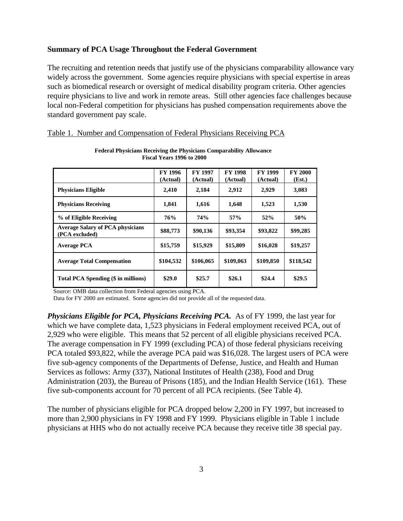### **Summary of PCA Usage Throughout the Federal Government**

The recruiting and retention needs that justify use of the physicians comparability allowance vary widely across the government. Some agencies require physicians with special expertise in areas such as biomedical research or oversight of medical disability program criteria. Other agencies require physicians to live and work in remote areas. Still other agencies face challenges because local non-Federal competition for physicians has pushed compensation requirements above the standard government pay scale.

|                                                           | FY 1996<br>(Actual) | <b>FY 1997</b><br>(Actual) | <b>FY 1998</b><br>(Actual) | <b>FY 1999</b><br>(Actual) | <b>FY 2000</b><br>(Est.) |
|-----------------------------------------------------------|---------------------|----------------------------|----------------------------|----------------------------|--------------------------|
| <b>Physicians Eligible</b>                                | 2,410               | 2,184                      | 2,912                      | 2,929                      | 3,083                    |
| <b>Physicians Receiving</b>                               | 1,841               | 1,616                      | 1,648                      | 1,523                      | 1,530                    |
| % of Eligible Receiving                                   | 76%                 | 74%                        | 57%                        | 52%                        | 50%                      |
| <b>Average Salary of PCA physicians</b><br>(PCA excluded) | \$88,773            | \$90,136                   | \$93,354                   | \$93,822                   | \$99,285                 |
| <b>Average PCA</b>                                        | \$15,759            | \$15,929                   | \$15,809                   | \$16,028                   | \$19,257                 |
| <b>Average Total Compensation</b>                         | \$104,532           | \$106,065                  | \$109,063                  | \$109,850                  | \$118,542                |
| Total PCA Spending (\$ in millions)                       | \$29.0              | \$25.7                     | \$26.1                     | \$24.4                     | \$29.5                   |

**Federal Physicians Receiving the Physicians Comparability Allowance Fiscal Years 1996 to 2000**

|  |  | Table 1. Number and Compensation of Federal Physicians Receiving PCA |  |
|--|--|----------------------------------------------------------------------|--|
|  |  |                                                                      |  |

Source: OMB data collection from Federal agencies using PCA.

Data for FY 2000 are estimated. Some agencies did not provide all of the requested data.

*Physicians Eligible for PCA, Physicians Receiving PCA.* As of FY 1999, the last year for which we have complete data, 1,523 physicians in Federal employment received PCA, out of 2,929 who were eligible. This means that 52 percent of all eligible physicians received PCA. The average compensation in FY 1999 (excluding PCA) of those federal physicians receiving PCA totaled \$93,822, while the average PCA paid was \$16,028. The largest users of PCA were five sub-agency components of the Departments of Defense, Justice, and Health and Human Services as follows: Army (337), National Institutes of Health (238), Food and Drug Administration (203), the Bureau of Prisons (185), and the Indian Health Service (161). These five sub-components account for 70 percent of all PCA recipients. (See Table 4).

The number of physicians eligible for PCA dropped below 2,200 in FY 1997, but increased to more than 2,900 physicians in FY 1998 and FY 1999. Physicians eligible in Table 1 include physicians at HHS who do not actually receive PCA because they receive title 38 special pay.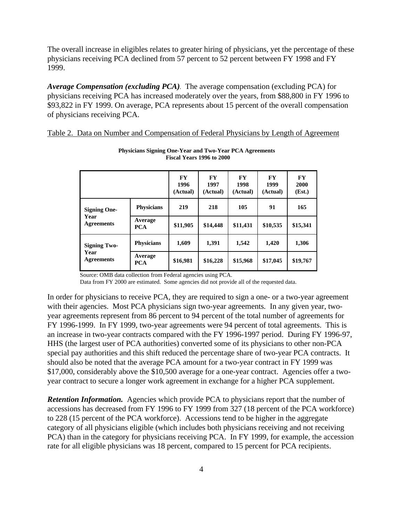The overall increase in eligibles relates to greater hiring of physicians, yet the percentage of these physicians receiving PCA declined from 57 percent to 52 percent between FY 1998 and FY 1999.

*Average Compensation (excluding PCA).* The average compensation (excluding PCA) for physicians receiving PCA has increased moderately over the years, from \$88,800 in FY 1996 to \$93,822 in FY 1999. On average, PCA represents about 15 percent of the overall compensation of physicians receiving PCA.

|--|

|                                                  |                       | <b>FY</b><br>1996<br>(Actual) | <b>FY</b><br>1997<br>(Actual) | <b>FY</b><br>1998<br>(Actual) | <b>FY</b><br>1999<br>(Actual) | <b>FY</b><br>2000<br>(Est.) |
|--------------------------------------------------|-----------------------|-------------------------------|-------------------------------|-------------------------------|-------------------------------|-----------------------------|
| <b>Signing One-</b><br>Year<br><b>Agreements</b> | <b>Physicians</b>     | 219                           | 218                           | 105                           | 91                            | 165                         |
|                                                  | Average<br><b>PCA</b> | \$11,905                      | \$14,448                      | \$11,431                      | \$10,535                      | \$15,341                    |
| <b>Signing Two-</b><br>Year<br><b>Agreements</b> | <b>Physicians</b>     | 1,609                         | 1,391                         | 1,542                         | 1,420                         | 1,306                       |
|                                                  | Average<br><b>PCA</b> | \$16,981                      | \$16,228                      | \$15,968                      | \$17,045                      | \$19,767                    |

**Physicians Signing One-Year and Two-Year PCA Agreements Fiscal Years 1996 to 2000**

Source: OMB data collection from Federal agencies using PCA.

Data from FY 2000 are estimated. Some agencies did not provide all of the requested data.

In order for physicians to receive PCA, they are required to sign a one- or a two-year agreement with their agencies. Most PCA physicians sign two-year agreements*.* In any given year, twoyear agreements represent from 86 percent to 94 percent of the total number of agreements for FY 1996-1999. In FY 1999, two-year agreements were 94 percent of total agreements. This is an increase in two-year contracts compared with the FY 1996-1997 period. During FY 1996-97, HHS (the largest user of PCA authorities) converted some of its physicians to other non-PCA special pay authorities and this shift reduced the percentage share of two-year PCA contracts. It should also be noted that the average PCA amount for a two-year contract in FY 1999 was \$17,000, considerably above the \$10,500 average for a one-year contract. Agencies offer a twoyear contract to secure a longer work agreement in exchange for a higher PCA supplement.

**Retention Information.** Agencies which provide PCA to physicians report that the number of accessions has decreased from FY 1996 to FY 1999 from 327 (18 percent of the PCA workforce) to 228 (15 percent of the PCA workforce). Accessions tend to be higher in the aggregate category of all physicians eligible (which includes both physicians receiving and not receiving PCA) than in the category for physicians receiving PCA. In FY 1999, for example, the accession rate for all eligible physicians was 18 percent, compared to 15 percent for PCA recipients.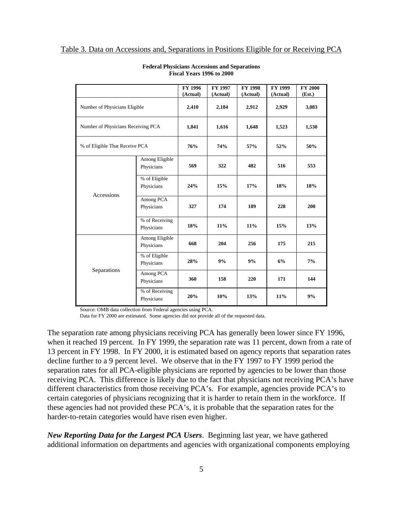#### Table 3. Data on Accessions and, Separations in Positions Eligible for or Receiving PCA

|                                    |                              | FY 1996           | <b>FY 1997</b>    | <b>FY 1998</b>    | <b>FY 1999</b>    | <b>FY 2000</b>  |
|------------------------------------|------------------------------|-------------------|-------------------|-------------------|-------------------|-----------------|
| Number of Physicians Eligible      |                              | (Actual)<br>2,410 | (Actual)<br>2,184 | (Actual)<br>2,912 | (Actual)<br>2,929 | (Est.)<br>3,083 |
| Number of Physicians Receiving PCA |                              | 1,841             | 1,616             | 1,648             | 1,523             | 1,530           |
| % of Eligible That Receive PCA     |                              | 76%               | 74%               | 57%               | 52%               | 50%             |
| Accessions                         | Among Eligible<br>Physicians | 569               | 322               | 482               | 516               | 553             |
|                                    | % of Eligible<br>Physicians  | 24%               | 15%               | 17%               | 18%               | 18%             |
|                                    | Among PCA<br>Physicians      | 327               | 174               | 189               | 228               | 200             |
|                                    | % of Receiving<br>Physicians | 18%               | $11\%$            | 11%               | 15%               | 13%             |
| Separations                        | Among Eligible<br>Physicians | 668               | 204               | 256               | 175               | 215             |
|                                    | % of Eligible<br>Physicians  | 28%               | 9%                | 9%                | 6%                | 7%              |
|                                    | Among PCA<br>Physicians      | 360               | 158               | 220               | 171               | 144             |
|                                    | % of Receiving<br>Physicians | 20%               | 10%               | 13%               | 11%               | 9%              |

#### **Federal Physicians Accessions and Separations Fiscal Years 1996 to 2000**

Source: OMB data collection from Federal agencies using PCA.

Data for FY 2000 are estimated. Some agencies did not provide all of the requested data.

The separation rate among physicians receiving PCA has generally been lower since FY 1996, when it reached 19 percent. In FY 1999, the separation rate was 11 percent, down from a rate of 13 percent in FY 1998. In FY 2000, it is estimated based on agency reports that separation rates decline further to a 9 percent level. We observe that in the FY 1997 to FY 1999 period the separation rates for all PCA-eligible physicians are reported by agencies to be lower than those receiving PCA. This difference is likely due to the fact that physicians not receiving PCA's have different characteristics from those receiving PCA's. For example, agencies provide PCA's to certain categories of physicians recognizing that it is harder to retain them in the workforce. If these agencies had not provided these PCA's, it is probable that the separation rates for the harder-to-retain categories would have risen even higher.

*New Reporting Data for the Largest PCA Users*. Beginning last year, we have gathered additional information on departments and agencies with organizational components employing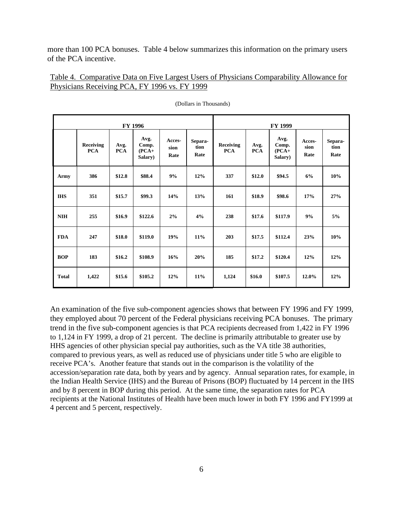more than 100 PCA bonuses. Table 4 below summarizes this information on the primary users of the PCA incentive.

Table 4. Comparative Data on Five Largest Users of Physicians Comparability Allowance for Physicians Receiving PCA, FY 1996 vs. FY 1999

| <b>FY 1996</b> |                         |                    |                                     | FY 1999                |                         |                         |                    |                                     |                        |                         |
|----------------|-------------------------|--------------------|-------------------------------------|------------------------|-------------------------|-------------------------|--------------------|-------------------------------------|------------------------|-------------------------|
|                | Receiving<br><b>PCA</b> | Avg.<br><b>PCA</b> | Avg.<br>Comp.<br>$(PCA+$<br>Salary) | Acces-<br>sion<br>Rate | Separa-<br>tion<br>Rate | Receiving<br><b>PCA</b> | Avg.<br><b>PCA</b> | Avg.<br>Comp.<br>$(PCA+$<br>Salary) | Acces-<br>sion<br>Rate | Separa-<br>tion<br>Rate |
| Army           | 386                     | \$12.8             | \$88.4                              | 9%                     | 12%                     | 337                     | \$12.0             | \$94.5                              | 6%                     | 10%                     |
| <b>IHS</b>     | 351                     | \$15.7             | \$99.3\$                            | 14%                    | 13%                     | 161                     | \$18.9             | \$98.6                              | 17%                    | 27%                     |
| <b>NIH</b>     | 255                     | \$16.9             | \$122.6                             | 2%                     | 4%                      | 238                     | \$17.6             | \$117.9                             | 9%                     | 5%                      |
| <b>FDA</b>     | 247                     | \$18.0             | \$119.0                             | 19%                    | 11%                     | 203                     | \$17.5             | \$112.4                             | 23%                    | 10%                     |
| <b>BOP</b>     | 183                     | \$16.2             | \$108.9                             | 16%                    | 20%                     | 185                     | \$17.2             | \$120.4                             | 12%                    | 12%                     |
| <b>Total</b>   | 1,422                   | \$15.6             | \$105.2                             | 12%                    | 11%                     | 1,124                   | \$16.0             | \$107.5                             | 12.0%                  | 12%                     |

(Dollars in Thousands)

An examination of the five sub-component agencies shows that between FY 1996 and FY 1999, they employed about 70 percent of the Federal physicians receiving PCA bonuses. The primary trend in the five sub-component agencies is that PCA recipients decreased from 1,422 in FY 1996 to 1,124 in FY 1999, a drop of 21 percent. The decline is primarily attributable to greater use by HHS agencies of other physician special pay authorities, such as the VA title 38 authorities, compared to previous years, as well as reduced use of physicians under title 5 who are eligible to receive PCA's. Another feature that stands out in the comparison is the volatility of the accession/separation rate data, both by years and by agency. Annual separation rates, for example, in the Indian Health Service (IHS) and the Bureau of Prisons (BOP) fluctuated by 14 percent in the IHS and by 8 percent in BOP during this period. At the same time, the separation rates for PCA recipients at the National Institutes of Health have been much lower in both FY 1996 and FY1999 at 4 percent and 5 percent, respectively.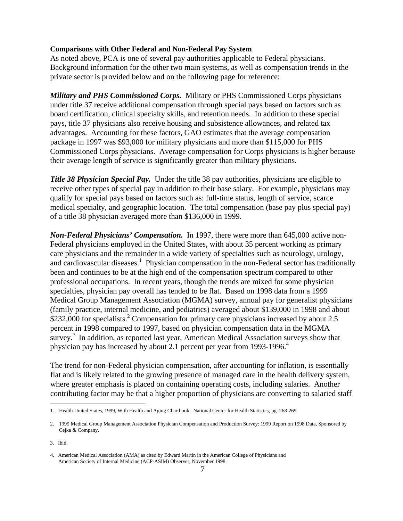#### **Comparisons with Other Federal and Non-Federal Pay System**

As noted above, PCA is one of several pay authorities applicable to Federal physicians. Background information for the other two main systems, as well as compensation trends in the private sector is provided below and on the following page for reference:

*Military and PHS Commissioned Corps.* Military or PHS Commissioned Corps physicians under title 37 receive additional compensation through special pays based on factors such as board certification, clinical specialty skills, and retention needs. In addition to these special pays, title 37 physicians also receive housing and subsistence allowances, and related tax advantages. Accounting for these factors, GAO estimates that the average compensation package in 1997 was \$93,000 for military physicians and more than \$115,000 for PHS Commissioned Corps physicians. Average compensation for Corps physicians is higher because their average length of service is significantly greater than military physicians.

*Title 38 Physician Special Pay.* Under the title 38 pay authorities, physicians are eligible to receive other types of special pay in addition to their base salary. For example, physicians may qualify for special pays based on factors such as: full-time status, length of service, scarce medical specialty, and geographic location. The total compensation (base pay plus special pay) of a title 38 physician averaged more than \$136,000 in 1999.

*Non-Federal Physicians' Compensation.* In 1997, there were more than 645,000 active non-Federal physicians employed in the United States, with about 35 percent working as primary care physicians and the remainder in a wide variety of specialties such as neurology, urology, and cardiovascular diseases.<sup>1</sup> Physician compensation in the non-Federal sector has traditionally been and continues to be at the high end of the compensation spectrum compared to other professional occupations. In recent years, though the trends are mixed for some physician specialties, physician pay overall has tended to be flat. Based on 1998 data from a 1999 Medical Group Management Association (MGMA) survey, annual pay for generalist physicians (family practice, internal medicine, and pediatrics) averaged about \$139,000 in 1998 and about \$232,000 for specialists.<sup>2</sup> Compensation for primary care physicians increased by about 2.5 percent in 1998 compared to 1997, based on physician compensation data in the MGMA survey.<sup>3</sup> In addition, as reported last year, American Medical Association surveys show that physician pay has increased by about 2.1 percent per year from 1993-1996.<sup>4</sup>

The trend for non-Federal physician compensation, after accounting for inflation, is essentially flat and is likely related to the growing presence of managed care in the health delivery system, where greater emphasis is placed on containing operating costs, including salaries. Another contributing factor may be that a higher proportion of physicians are converting to salaried staff

 $\overline{a}$ 

<sup>1.</sup> Health United States, 1999, With Health and Aging Chartbook. National Center for Health Statistics, pg. 268-269.

<sup>2.</sup> 1999 Medical Group Management Association Physician Compensation and Production Survey: 1999 Report on 1998 Data, Sponsored by Cejka & Company.

<sup>3.</sup> Ibid.

<sup>4.</sup> American Medical Association (AMA) as cited by Edward Martin in the American College of Physicians and American Society of Internal Medicine (ACP-ASIM) Observer, November 1998.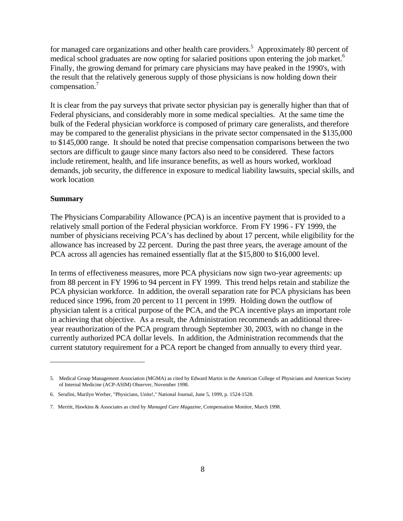for managed care organizations and other health care providers.<sup>5</sup> Approximately 80 percent of medical school graduates are now opting for salaried positions upon entering the job market.<sup>6</sup> Finally, the growing demand for primary care physicians may have peaked in the 1990's, with the result that the relatively generous supply of those physicians is now holding down their compensation.<sup>7</sup>

It is clear from the pay surveys that private sector physician pay is generally higher than that of Federal physicians, and considerably more in some medical specialties. At the same time the bulk of the Federal physician workforce is composed of primary care generalists, and therefore may be compared to the generalist physicians in the private sector compensated in the \$135,000 to \$145,000 range. It should be noted that precise compensation comparisons between the two sectors are difficult to gauge since many factors also need to be considered. These factors include retirement, health, and life insurance benefits, as well as hours worked, workload demands, job security, the difference in exposure to medical liability lawsuits, special skills, and work location

### **Summary**

 $\overline{a}$ 

The Physicians Comparability Allowance (PCA) is an incentive payment that is provided to a relatively small portion of the Federal physician workforce. From FY 1996 - FY 1999, the number of physicians receiving PCA's has declined by about 17 percent, while eligibility for the allowance has increased by 22 percent. During the past three years, the average amount of the PCA across all agencies has remained essentially flat at the \$15,800 to \$16,000 level.

In terms of effectiveness measures, more PCA physicians now sign two-year agreements: up from 88 percent in FY 1996 to 94 percent in FY 1999. This trend helps retain and stabilize the PCA physician workforce. In addition, the overall separation rate for PCA physicians has been reduced since 1996, from 20 percent to 11 percent in 1999. Holding down the outflow of physician talent is a critical purpose of the PCA, and the PCA incentive plays an important role in achieving that objective. As a result, the Administration recommends an additional threeyear reauthorization of the PCA program through September 30, 2003, with no change in the currently authorized PCA dollar levels. In addition, the Administration recommends that the current statutory requirement for a PCA report be changed from annually to every third year.

<sup>5.</sup> Medical Group Management Association (MGMA) as cited by Edward Martin in the American College of Physicians and American Society of Internal Medicine (ACP-ASIM) Observer, November 1998.

<sup>6.</sup> Serafini, Marilyn Werber, "Physicians, Unite!," National Journal, June 5, 1999, p. 1524-1528.

<sup>7.</sup> Merritt, Hawkins & Associates as cited by *Managed Care Magazine,* Compensation Monitor, March 1998.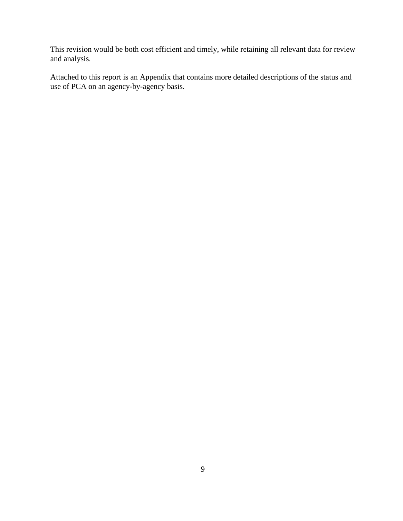This revision would be both cost efficient and timely, while retaining all relevant data for review and analysis.

Attached to this report is an Appendix that contains more detailed descriptions of the status and use of PCA on an agency-by-agency basis.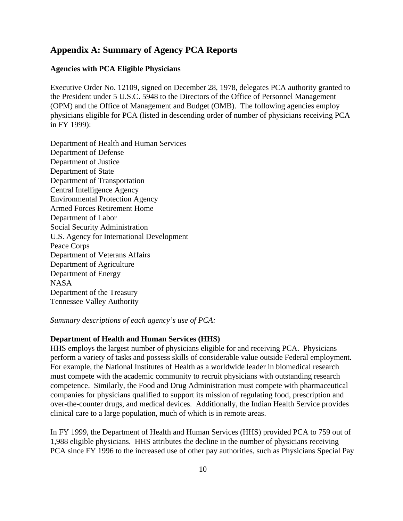## **Appendix A: Summary of Agency PCA Reports**

### **Agencies with PCA Eligible Physicians**

Executive Order No. 12109, signed on December 28, 1978, delegates PCA authority granted to the President under 5 U.S.C. 5948 to the Directors of the Office of Personnel Management (OPM) and the Office of Management and Budget (OMB). The following agencies employ physicians eligible for PCA (listed in descending order of number of physicians receiving PCA in FY 1999):

Department of Health and Human Services Department of Defense Department of Justice Department of State Department of Transportation Central Intelligence Agency Environmental Protection Agency Armed Forces Retirement Home Department of Labor Social Security Administration U.S. Agency for International Development Peace Corps Department of Veterans Affairs Department of Agriculture Department of Energy NASA Department of the Treasury Tennessee Valley Authority

*Summary descriptions of each agency's use of PCA:*

#### **Department of Health and Human Services (HHS)**

HHS employs the largest number of physicians eligible for and receiving PCA. Physicians perform a variety of tasks and possess skills of considerable value outside Federal employment. For example, the National Institutes of Health as a worldwide leader in biomedical research must compete with the academic community to recruit physicians with outstanding research competence. Similarly, the Food and Drug Administration must compete with pharmaceutical companies for physicians qualified to support its mission of regulating food, prescription and over-the-counter drugs, and medical devices. Additionally, the Indian Health Service provides clinical care to a large population, much of which is in remote areas.

In FY 1999, the Department of Health and Human Services (HHS) provided PCA to 759 out of 1,988 eligible physicians. HHS attributes the decline in the number of physicians receiving PCA since FY 1996 to the increased use of other pay authorities, such as Physicians Special Pay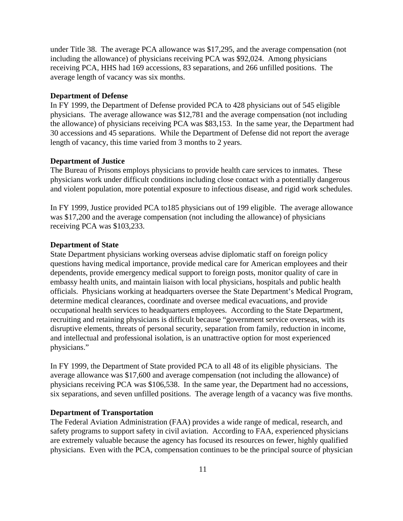under Title 38. The average PCA allowance was \$17,295, and the average compensation (not including the allowance) of physicians receiving PCA was \$92,024. Among physicians receiving PCA, HHS had 169 accessions, 83 separations, and 266 unfilled positions. The average length of vacancy was six months.

#### **Department of Defense**

In FY 1999, the Department of Defense provided PCA to 428 physicians out of 545 eligible physicians. The average allowance was \$12,781 and the average compensation (not including the allowance) of physicians receiving PCA was \$83,153. In the same year, the Department had 30 accessions and 45 separations. While the Department of Defense did not report the average length of vacancy, this time varied from 3 months to 2 years.

#### **Department of Justice**

The Bureau of Prisons employs physicians to provide health care services to inmates. These physicians work under difficult conditions including close contact with a potentially dangerous and violent population, more potential exposure to infectious disease, and rigid work schedules.

In FY 1999, Justice provided PCA to185 physicians out of 199 eligible. The average allowance was \$17,200 and the average compensation (not including the allowance) of physicians receiving PCA was \$103,233.

#### **Department of State**

State Department physicians working overseas advise diplomatic staff on foreign policy questions having medical importance, provide medical care for American employees and their dependents, provide emergency medical support to foreign posts, monitor quality of care in embassy health units, and maintain liaison with local physicians, hospitals and public health officials. Physicians working at headquarters oversee the State Department's Medical Program, determine medical clearances, coordinate and oversee medical evacuations, and provide occupational health services to headquarters employees. According to the State Department, recruiting and retaining physicians is difficult because "government service overseas, with its disruptive elements, threats of personal security, separation from family, reduction in income, and intellectual and professional isolation, is an unattractive option for most experienced physicians."

In FY 1999, the Department of State provided PCA to all 48 of its eligible physicians. The average allowance was \$17,600 and average compensation (not including the allowance) of physicians receiving PCA was \$106,538. In the same year, the Department had no accessions, six separations, and seven unfilled positions. The average length of a vacancy was five months.

### **Department of Transportation**

The Federal Aviation Administration (FAA) provides a wide range of medical, research, and safety programs to support safety in civil aviation. According to FAA, experienced physicians are extremely valuable because the agency has focused its resources on fewer, highly qualified physicians. Even with the PCA, compensation continues to be the principal source of physician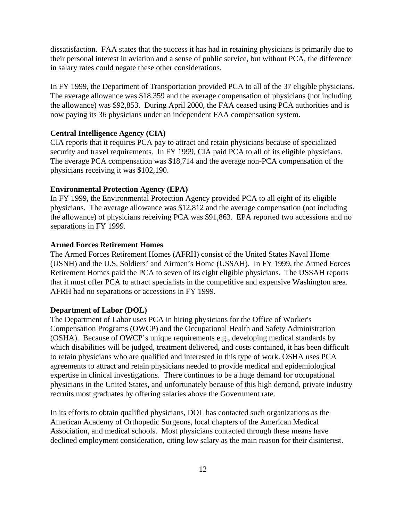dissatisfaction. FAA states that the success it has had in retaining physicians is primarily due to their personal interest in aviation and a sense of public service, but without PCA, the difference in salary rates could negate these other considerations.

In FY 1999, the Department of Transportation provided PCA to all of the 37 eligible physicians. The average allowance was \$18,359 and the average compensation of physicians (not including the allowance) was \$92,853. During April 2000, the FAA ceased using PCA authorities and is now paying its 36 physicians under an independent FAA compensation system.

#### **Central Intelligence Agency (CIA)**

CIA reports that it requires PCA pay to attract and retain physicians because of specialized security and travel requirements. In FY 1999, CIA paid PCA to all of its eligible physicians. The average PCA compensation was \$18,714 and the average non-PCA compensation of the physicians receiving it was \$102,190.

#### **Environmental Protection Agency (EPA)**

In FY 1999, the Environmental Protection Agency provided PCA to all eight of its eligible physicians. The average allowance was \$12,812 and the average compensation (not including the allowance) of physicians receiving PCA was \$91,863. EPA reported two accessions and no separations in FY 1999.

#### **Armed Forces Retirement Homes**

The Armed Forces Retirement Homes (AFRH) consist of the United States Naval Home (USNH) and the U.S. Soldiers' and Airmen's Home (USSAH). In FY 1999, the Armed Forces Retirement Homes paid the PCA to seven of its eight eligible physicians. The USSAH reports that it must offer PCA to attract specialists in the competitive and expensive Washington area. AFRH had no separations or accessions in FY 1999.

#### **Department of Labor (DOL)**

The Department of Labor uses PCA in hiring physicians for the Office of Worker's Compensation Programs (OWCP) and the Occupational Health and Safety Administration (OSHA). Because of OWCP's unique requirements e.g., developing medical standards by which disabilities will be judged, treatment delivered, and costs contained, it has been difficult to retain physicians who are qualified and interested in this type of work. OSHA uses PCA agreements to attract and retain physicians needed to provide medical and epidemiological expertise in clinical investigations. There continues to be a huge demand for occupational physicians in the United States, and unfortunately because of this high demand, private industry recruits most graduates by offering salaries above the Government rate.

In its efforts to obtain qualified physicians, DOL has contacted such organizations as the American Academy of Orthopedic Surgeons, local chapters of the American Medical Association, and medical schools. Most physicians contacted through these means have declined employment consideration, citing low salary as the main reason for their disinterest.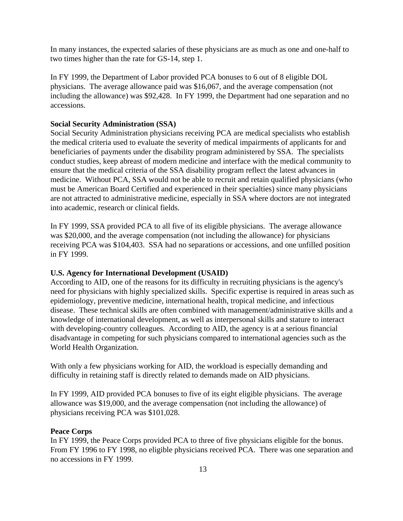In many instances, the expected salaries of these physicians are as much as one and one-half to two times higher than the rate for GS-14, step 1.

In FY 1999, the Department of Labor provided PCA bonuses to 6 out of 8 eligible DOL physicians. The average allowance paid was \$16,067, and the average compensation (not including the allowance) was \$92,428. In FY 1999, the Department had one separation and no accessions.

#### **Social Security Administration (SSA)**

Social Security Administration physicians receiving PCA are medical specialists who establish the medical criteria used to evaluate the severity of medical impairments of applicants for and beneficiaries of payments under the disability program administered by SSA. The specialists conduct studies, keep abreast of modern medicine and interface with the medical community to ensure that the medical criteria of the SSA disability program reflect the latest advances in medicine. Without PCA, SSA would not be able to recruit and retain qualified physicians (who must be American Board Certified and experienced in their specialties) since many physicians are not attracted to administrative medicine, especially in SSA where doctors are not integrated into academic, research or clinical fields.

In FY 1999, SSA provided PCA to all five of its eligible physicians. The average allowance was \$20,000, and the average compensation (not including the allowance) for physicians receiving PCA was \$104,403. SSA had no separations or accessions, and one unfilled position in FY 1999.

#### **U.S. Agency for International Development (USAID)**

According to AID, one of the reasons for its difficulty in recruiting physicians is the agency's need for physicians with highly specialized skills. Specific expertise is required in areas such as epidemiology, preventive medicine, international health, tropical medicine, and infectious disease. These technical skills are often combined with management/administrative skills and a knowledge of international development, as well as interpersonal skills and stature to interact with developing-country colleagues. According to AID, the agency is at a serious financial disadvantage in competing for such physicians compared to international agencies such as the World Health Organization.

With only a few physicians working for AID, the workload is especially demanding and difficulty in retaining staff is directly related to demands made on AID physicians.

In FY 1999, AID provided PCA bonuses to five of its eight eligible physicians. The average allowance was \$19,000, and the average compensation (not including the allowance) of physicians receiving PCA was \$101,028.

### **Peace Corps**

In FY 1999, the Peace Corps provided PCA to three of five physicians eligible for the bonus. From FY 1996 to FY 1998, no eligible physicians received PCA. There was one separation and no accessions in FY 1999.